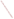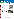### **SEPA** NRMRL NATIONAL RISK MANAGEMENT RESEARCH LABORATORY www.epa.gov/nrmrl GROUND WATER AND ECOSYSTEMS RESTORATION RESEARCH

## Effects of Watershed Restoration on Nitrogen in a Stream Impacted by Legacy Sediments: Big Spring Run Stream Restoration Project as a Case Study

#### **Background**

Excess sediments and anthropogenic nutrients, especially nitrogen and phosphorous, are a leading cause of water quality impairment in streams and wetlands throughout the mid-Atlantic region of the United States. Legacy sediments, deposited as a function of historic mill dam construction, may contribute significantly to the sediment and nutrient load of streams and estuaries, including the Chesapeake Bay.

Removing legacy sediments may be a cost-effective, sustainable means to reduce sediment and nutrient pollution in watersheds. Therefore, identifying best management practices for streams and wetlands to mitigate the impacts of legacy sediments is an important goal for resource managers in the mid-Atlantic region.

Big Spring Run (BSR), a rural stream in Lancaster County, Pennsylvania, is impacted by legacy sediments from past mill pond dams. BSR has been the subject of long-term nutrient and sediment studies (Galeone, et al. 2006, Walter and Merritts 2008). Beginning in 2009, legacy sediments will be removed throughout a portion of the BSR watershed to expose buried wetlands and reconnect floodplain hydrology. This restoration effort represents a unique opportunity to assess the effects of watershed restoration on ecological function in a watershed, especially sediment and nutrient reduction.

#### **Objective**

- Assess ecosystem benefits of restoration
- Identify stream restoration methods that enhance nitrogen control
- Develop predictive models of stream hydrology and sediment movement
- Develop ecologically based guidelines for stream restoration

#### **Approach**

- Examine BSR before and after restoration to measure surface and ground water hydrology, nutrient dynamics, and microbial denitrification, a natural subsurface process that removes bioreactive nitrogen by transformation to a biologically inactive gas form
- Establish stream flow gages

The National Risk Management Research Laboratory's mission is to advance scientific and engineering solutions that enable EPA and others to effectively manage current and future environmental risks. NRMRL possesses unique strengths and capabilities and is dedicated to providing credible technological information and scientific solutions that support national priorities and protect human health and the environment.

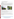- Characterize stream geomorphology and sediment movement
- Monitor surface water and ground water chemistry
- Measure ground water level, temperature, and hydraulic head among a network of piezometers established throughout the restoration and in control locations

#### **Expected Results**

Based on previous studies, geomorphic stability of restored streams may be greatly improved after restoration; far less sediment is transported and lateral migration of streams are halted. Significant denitrification activity occurs in the stream channel and hyporheic zone, especially where carbon concentration is high and the stream is connected with the floodplain. Thus, not only do we expect the source of sediments and nutrients to be removed after restoration, but we expect more bioreactive nitrogen to be removed in the stream channel and associated floodplain wetlands due to better hyporheic connection and retention and increased organic matter supply.

We expect that restoration involving legacy sediment removal will be a sustainable means of improving water quality in watersheds.





#### **References**

Craig, L.S., M.A. Palmer, D.C. Richardson, et al. (In press). "Stream Restoration Strategies for Reducing River Nitrogen Loads. *Frontiers in Ecology and the Environment.*

Gift, D., P.M. Groffman, S. Kaushal, et al. (In press). "Root Biomass, Organic Matter and Denitrification Potential in Degraded and Restored Urban Riparian Zones." *Restoration Ecology*.

Kaushal, S., P.M. Groffman, P.M. Mayer, et al. (2008). "Effects of Stream Restoration on Denitrification in an Urbanizing Watershed." *Ecological Applications*, 18: 789–804.

Walter, R.C. and D.J. Merritts. (2008). "Natural Streams and the Legacy of Water-Powered Mills." *Science*, 319: 299–304.

Galeone, D.G., R.A. Brightbill, D.J. Low, and D.L. O'Brien. (2006). "Effects of Streambank Fencing of Pastureland on Benthic Macroinvertebrates and the Quality of Surface Water and Shallow Ground Water in the Big Spring Run Basin of Mill Creek Watershed, Lancaster County, Pennsylvania, 1993-2001." Scientific Investigations Report #2006-5141, 183 p.

Forshay, K.J. and E.H. Stanley. (2005). "Rapid Nitrate Loss and Denitrification in a Temperate River Floodplain." *Biogeochemistry*, 75: 43–64.

> The National Risk Management Research Laboratory's mission is to advance scientific and engineering solutions that enable EPA and others to effectively manage current and future environmental risks. NRMRL possesses unique strengths and capabilities and is dedicated to providing credible technological information and scientific solutions that support national priorities and protect human health and the environment.